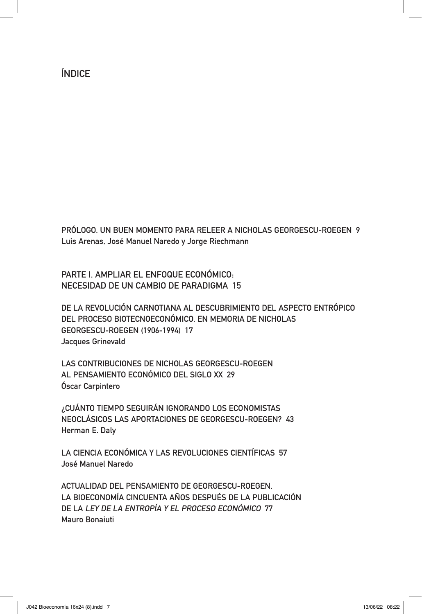ÍNDICE

PRÓLOGO. UN BUEN MOMENTO PARA RELEER A NICHOLAS GEORGESCU-ROEGEN 9 Luis Arenas, José Manuel Naredo y Jorge Riechmann

PARTE I. AMPLIAR EL ENFOQUE ECONÓMICO: NECESIDAD DE UN CAMBIO DE PARADIGMA 15

DE LA REVOLUCIÓN CARNOTIANA AL DESCUBRIMIENTO DEL ASPECTO ENTRÓPICO DEL PROCESO BIOTECNOECONÓMICO. EN MEMORIA DE NICHOLAS GEORGESCU-ROEGEN (1906-1994) 17 Jacques Grinevald

LAS CONTRIBUCIONES DE NICHOLAS GEORGESCU-ROEGEN AL PENSAMIENTO ECONÓMICO DEL SIGLO XX 29 Óscar Carpintero

¿CUÁNTO TIEMPO SEGUIRÁN IGNORANDO LOS ECONOMISTAS NEOCLÁSICOS LAS APORTACIONES DE GEORGESCU-ROEGEN? 43 Herman E. Daly

LA CIENCIA ECONÓMICA Y LAS REVOLUCIONES CIENTÍFICAS 57 José Manuel Naredo

ACTUALIDAD DEL PENSAMIENTO DE GEORGESCU-ROEGEN. LA BIOECONOMÍA CINCUENTA AÑOS DESPUÉS DE LA PUBLICACIÓN DE LA LEY DE LA ENTROPÍA Y EL PROCESO ECONÓMICO 77 Mauro Bonaiuti